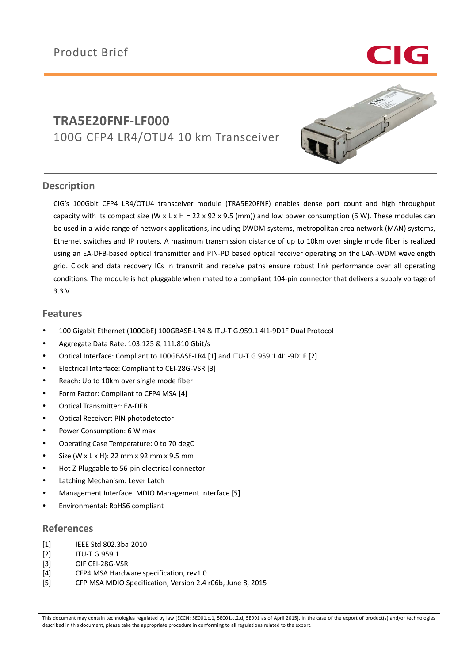

# **TRA5E20FNF-LF000** 100G CFP4 LR4/OTU4 10 km Transceiver



## **Description**

CIG's 100Gbit CFP4 LR4/OTU4 transceiver module (TRA5E20FNF) enables dense port count and high throughput capacity with its compact size (W x L x H = 22 x 92 x 9.5 (mm)) and low power consumption (6 W). These modules can be used in a wide range of network applications, including DWDM systems, metropolitan area network (MAN) systems, Ethernet switches and IP routers. A maximum transmission distance of up to 10km over single mode fiber is realized using an EA-DFB-based optical transmitter and PIN-PD based optical receiver operating on the LAN-WDM wavelength grid. Clock and data recovery ICs in transmit and receive paths ensure robust link performance over all operating conditions. The module is hot pluggable when mated to a compliant 104-pin connector that delivers a supply voltage of 3.3 V.

## **Features**

- 100 Gigabit Ethernet (100GbE) 100GBASE-LR4 & ITU-T G.959.1 4I1-9D1F Dual Protocol
- Aggregate Data Rate: 103.125 & 111.810 Gbit/s
- Optical Interface: Compliant to 100GBASE-LR4 [1] and ITU-T G.959.1 4I1-9D1F [2]
- Electrical Interface: Compliant to CEI-28G-VSR [3]
- Reach: Up to 10km over single mode fiber
- Form Factor: Compliant to CFP4 MSA [4]
- Optical Transmitter: EA-DFB
- Optical Receiver: PIN photodetector
- Power Consumption: 6 W max
- Operating Case Temperature: 0 to 70 degC
- Size (W x L x H): 22 mm x 92 mm x 9.5 mm
- Hot Z-Pluggable to 56-pin electrical connector
- Latching Mechanism: Lever Latch
- Management Interface: MDIO Management Interface [5]
- Environmental: RoHS6 compliant

### **References**

- [1] IEEE Std 802.3ba-2010
- [2] ITU-T G.959.1
- [3] OIF CEI-28G-VSR
- [4] CFP4 MSA Hardware specification, rev1.0
- [5] CFP MSA MDIO Specification, Version 2.4 r06b, June 8, 2015

This document may contain technologies regulated by law [ECCN: 5E001.c.1, 5E001.c.2.d, 5E991 as of April 2015]. In the case of the export of product(s) and/or technologies described in this document, please take the appropriate procedure in conforming to all regulations related to the export.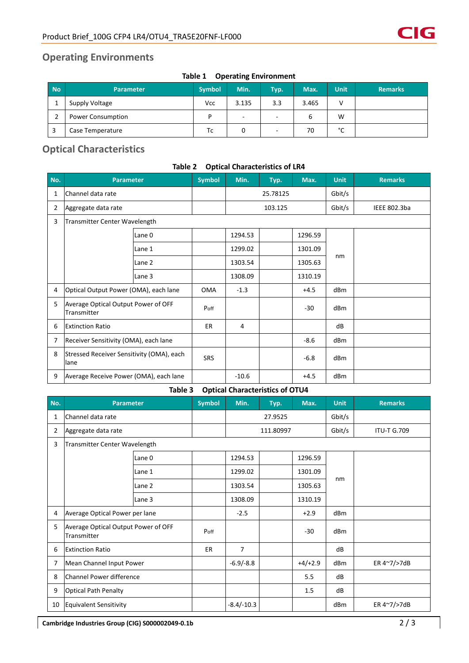## **Operating Environments**

| TO DIE 1<br><b>Operating Library Million</b> |                          |               |                          |             |       |             |                |  |
|----------------------------------------------|--------------------------|---------------|--------------------------|-------------|-------|-------------|----------------|--|
| <b>No</b>                                    | <b>Parameter</b>         | <b>Symbol</b> | Min.                     | <b>Typ.</b> | Max.  | <b>Unit</b> | <b>Remarks</b> |  |
|                                              | Supply Voltage           | <b>Vcc</b>    | 3.135                    | 3.3         | 3.465 | v           |                |  |
|                                              | <b>Power Consumption</b> | D             | $\overline{\phantom{a}}$ | -           | 6     | W           |                |  |
|                                              | Case Temperature         | Тc            |                          | -           | 70    | $\sim$<br>╰ |                |  |

### **Table 1 Operating Environment**

## **Optical Characteristics**

|                | 1001C & 4<br>Optical Characteristics of ERT        |        |               |          |      |         |             |                     |  |  |  |
|----------------|----------------------------------------------------|--------|---------------|----------|------|---------|-------------|---------------------|--|--|--|
| No.            | <b>Parameter</b>                                   |        | <b>Symbol</b> | Min.     | Typ. | Max.    | <b>Unit</b> | <b>Remarks</b>      |  |  |  |
| 1              | Channel data rate                                  |        |               | 25.78125 |      |         | Gbit/s      |                     |  |  |  |
| $\overline{2}$ | Aggregate data rate                                |        |               | 103.125  |      |         | Gbit/s      | <b>IEEE 802.3ba</b> |  |  |  |
| 3              | Transmitter Center Wavelength                      |        |               |          |      |         |             |                     |  |  |  |
|                |                                                    | Lane 0 |               | 1294.53  |      | 1296.59 |             |                     |  |  |  |
|                |                                                    | Lane 1 |               | 1299.02  |      | 1301.09 |             |                     |  |  |  |
|                |                                                    | Lane 2 |               | 1303.54  |      | 1305.63 | nm          |                     |  |  |  |
|                |                                                    | Lane 3 |               | 1308.09  |      | 1310.19 |             |                     |  |  |  |
| 4              | Optical Output Power (OMA), each lane              |        | <b>OMA</b>    | $-1.3$   |      | $+4.5$  | dBm         |                     |  |  |  |
| 5              | Average Optical Output Power of OFF<br>Transmitter |        | Poff          |          |      | $-30$   | dBm         |                     |  |  |  |
| 6              | <b>Extinction Ratio</b>                            |        | <b>ER</b>     | 4        |      |         | dB          |                     |  |  |  |
| 7              | Receiver Sensitivity (OMA), each lane              |        |               |          |      | $-8.6$  | dBm         |                     |  |  |  |
| 8              | Stressed Receiver Sensitivity (OMA), each<br>lane  |        | <b>SRS</b>    |          |      | $-6.8$  | dBm         |                     |  |  |  |
| 9              | Average Receive Power (OMA), each lane             |        |               | $-10.6$  |      | $+4.5$  | dBm         |                     |  |  |  |

#### **Table 2 Optical Characteristics of LR4**

#### **Table 3 Optical Characteristics of OTU4**

|     | $S1$ , $S1$ , $S2$ , $S3$ , $S4$ , $S5$            |                   |               |                |         |           |             |                    |  |  |
|-----|----------------------------------------------------|-------------------|---------------|----------------|---------|-----------|-------------|--------------------|--|--|
| No. | <b>Parameter</b>                                   |                   | <b>Symbol</b> | Min.           | Typ.    | Max.      | <b>Unit</b> | <b>Remarks</b>     |  |  |
| 1   | Channel data rate                                  |                   |               |                | 27.9525 |           |             |                    |  |  |
| 2   | Aggregate data rate                                |                   |               | 111.80997      |         |           | Gbit/s      | <b>ITU-T G.709</b> |  |  |
| 3   | Transmitter Center Wavelength                      |                   |               |                |         |           |             |                    |  |  |
|     |                                                    | Lane 0            |               | 1294.53        |         | 1296.59   |             |                    |  |  |
|     |                                                    | Lane 1            |               | 1299.02        |         | 1301.09   |             |                    |  |  |
|     |                                                    | Lane <sub>2</sub> |               | 1303.54        |         | 1305.63   | nm          |                    |  |  |
|     |                                                    | Lane 3            |               | 1308.09        |         | 1310.19   |             |                    |  |  |
| 4   | Average Optical Power per lane                     |                   |               | $-2.5$         |         | $+2.9$    | dBm         |                    |  |  |
| 5   | Average Optical Output Power of OFF<br>Transmitter |                   | Poff          |                |         | $-30$     | dBm         |                    |  |  |
| 6   | <b>Extinction Ratio</b>                            |                   | ER            | $\overline{7}$ |         |           | dB          |                    |  |  |
| 7   | Mean Channel Input Power                           |                   |               | $-6.9/-8.8$    |         | $+4/+2.9$ | dBm         | ER 4~7/>7dB        |  |  |
| 8   | Channel Power difference                           |                   |               |                |         | 5.5       | dB          |                    |  |  |
| 9   | <b>Optical Path Penalty</b>                        |                   |               |                |         | 1.5       | dB          |                    |  |  |
| 10  | Equivalent Sensitivity                             |                   |               | $-8.4/-10.3$   |         |           | dBm         | ER 4~7/>7dB        |  |  |

**Cambridge Industries Group (CIG) S000002049-0.1b** 2 / 3